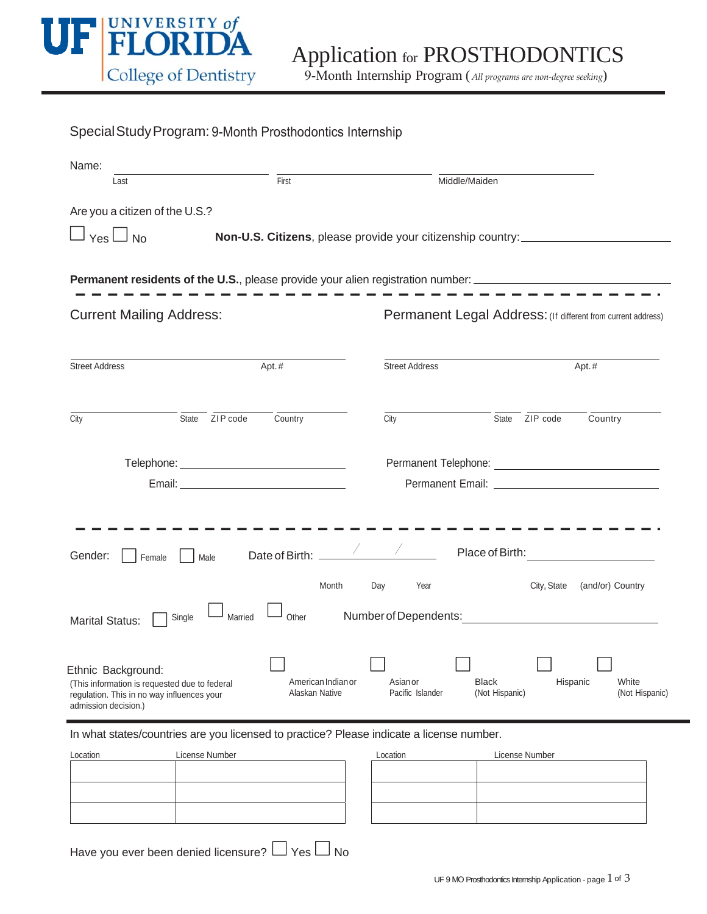

9-Month Internship Program (*All programs are non‐degree seeking*)

| Special Study Program: 9-Month Prosthodontics Internship                                                                                  |                                      |                                                                           |                                                                                                                                                                                                                                |  |
|-------------------------------------------------------------------------------------------------------------------------------------------|--------------------------------------|---------------------------------------------------------------------------|--------------------------------------------------------------------------------------------------------------------------------------------------------------------------------------------------------------------------------|--|
| Name:                                                                                                                                     |                                      |                                                                           |                                                                                                                                                                                                                                |  |
| Last                                                                                                                                      | $\frac{1}{\text{First}}$             | Middle/Maiden                                                             |                                                                                                                                                                                                                                |  |
| Are you a citizen of the U.S.?                                                                                                            |                                      |                                                                           |                                                                                                                                                                                                                                |  |
| $\Box$ $\gamma$ es $\Box$ No                                                                                                              |                                      | Non-U.S. Citizens, please provide your citizenship country: _____________ |                                                                                                                                                                                                                                |  |
| <b>Permanent residents of the U.S.</b> , please provide your alien registration number: ______________________________                    |                                      |                                                                           |                                                                                                                                                                                                                                |  |
| <b>Current Mailing Address:</b>                                                                                                           |                                      | Permanent Legal Address: (If different from current address)              |                                                                                                                                                                                                                                |  |
| <b>Street Address</b>                                                                                                                     | Apt.#                                | <b>Street Address</b>                                                     | Apt.#                                                                                                                                                                                                                          |  |
| City<br>State ZIP code                                                                                                                    | Country                              | City                                                                      | State ZIP code<br>Country                                                                                                                                                                                                      |  |
|                                                                                                                                           |                                      |                                                                           | Permanent Telephone: National Account of the Contract of the Contract of the Contract of the Contract of the Contract of the Contract of the Contract of the Contract of the Contract of the Contract of the Contract of the C |  |
|                                                                                                                                           |                                      |                                                                           |                                                                                                                                                                                                                                |  |
| Gender:<br>Male<br>Female                                                                                                                 | Date of Birth: _<br>Month            | Year<br>Day                                                               | Place of Birth:<br>City, State (and/or) Country                                                                                                                                                                                |  |
| Single<br>Married<br><b>Marital Status:</b>                                                                                               | Other                                | Number of Dependents:                                                     |                                                                                                                                                                                                                                |  |
| Ethnic Background:<br>(This information is requested due to federal<br>regulation. This in no way influences your<br>admission decision.) | American Indian or<br>Alaskan Native | Asian or<br>Pacific Islander                                              | White<br><b>Black</b><br>Hispanic<br>(Not Hispanic)<br>(Not Hispanic)                                                                                                                                                          |  |
| In what states/countries are you licensed to practice? Please indicate a license number.                                                  |                                      |                                                                           |                                                                                                                                                                                                                                |  |

| Location | License Number | Location | License Number |
|----------|----------------|----------|----------------|
|          |                |          |                |
|          |                |          |                |
|          |                |          |                |
|          |                |          |                |
|          |                |          |                |
|          |                |          |                |
|          |                |          |                |

| Location | License Number |
|----------|----------------|
|          |                |
|          |                |
|          |                |
|          |                |
|          |                |
|          |                |

Have you ever been denied licensure?  $\Box$  Yes  $\Box$  No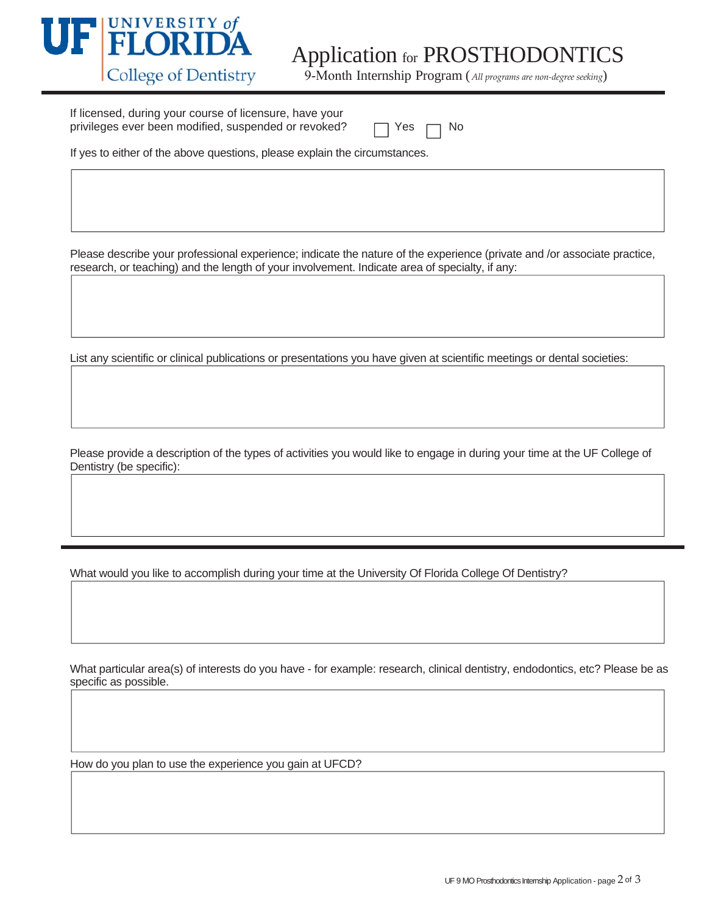

9-Month Internship Program (*All programs are non‐degree seeking*)

If licensed, during your course of licensure, have your privileges ever been modified, suspended or revoked?  $\Box$  Yes  $\Box$  No

If yes to either of the above questions, please explain the circumstances.

Please describe your professional experience; indicate the nature of the experience (private and /or associate practice, research, or teaching) and the length of your involvement. Indicate area of specialty, if any:

List any scientific or clinical publications or presentations you have given at scientific meetings or dental societies:

Please provide a description of the types of activities you would like to engage in during your time at the UF College of Dentistry (be specific):

What would you like to accomplish during your time at the University Of Florida College Of Dentistry?

What particular area(s) of interests do you have - for example: research, clinical dentistry, endodontics, etc? Please be as specific as possible.

How do you plan to use the experience you gain at UFCD?